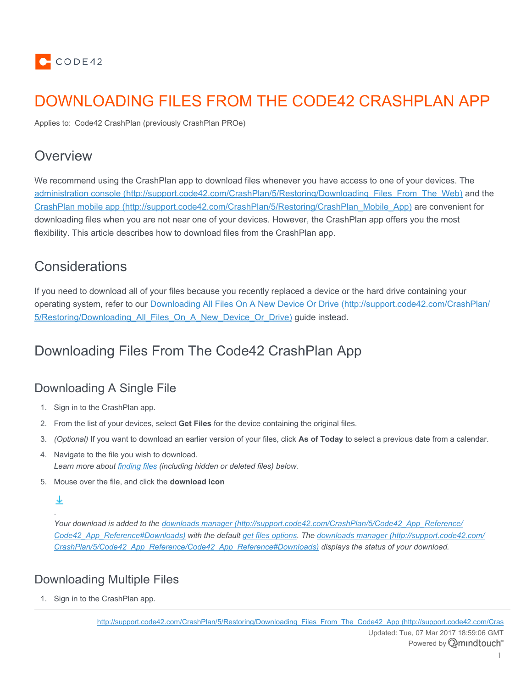

# DOWNLOADING FILES FROM THE CODE42 CRASHPLAN APP

Applies to: Code42 CrashPlan (previously CrashPlan PROe)

## **Overview**

We recommend using the CrashPlan app to download files whenever you have access to one of your devices. The administration console [\(http://support.code42.com/CrashPlan/5/Restoring/Downloading\\_Files\\_From\\_The\\_Web\)](http://support.code42.com/CrashPlan/5/Restoring/Downloading_Files_From_The_Web) and the CrashPlan mobile app [\(http://support.code42.com/CrashPlan/5/Restoring/CrashPlan\\_Mobile\\_App\)](http://support.code42.com/CrashPlan/5/Restoring/CrashPlan_Mobile_App) are convenient for downloading files when you are not near one of your devices. However, the CrashPlan app offers you the most flexibility. This article describes how to download files from the CrashPlan app.

# **Considerations**

If you need to download all of your files because you recently replaced a device or the hard drive containing your operating system, refer to our Downloading All Files On A New Device Or Drive [\(http://support.code42.com/CrashPlan/](http://support.code42.com/CrashPlan/5/Restoring/Downloading_All_Files_On_A_New_Device_Or_Drive) [5/Restoring/Downloading\\_All\\_Files\\_On\\_A\\_New\\_Device\\_Or\\_Drive\)](http://support.code42.com/CrashPlan/5/Restoring/Downloading_All_Files_On_A_New_Device_Or_Drive) guide instead.

# Downloading Files From The Code42 CrashPlan App

## Downloading A Single File

- 1. Sign in to the CrashPlan app.
- 2. From the list of your devices, select **Get Files** for the device containing the original files.
- 3. *(Optional)* If you want to download an earlier version of your files, click **As of Today** to select a previous date from a calendar.
- 4. Navigate to the file you wish to download. *Learn more about [finding files](#page-1-0) (including hidden or deleted files) below.*
- 5. Mouse over the file, and click the **download icon**

### ↓ .

*Your download is added to the downloads manager [\(http://support.code42.com/CrashPlan/5/Code42\\_App\\_Reference/](http://support.code42.com/CrashPlan/5/Code42_App_Reference/Code42_App_Reference#Downloads) [Code42\\_App\\_Reference#Downloads\)](http://support.code42.com/CrashPlan/5/Code42_App_Reference/Code42_App_Reference#Downloads) with the default [get files options.](#page-4-0) The downloads manager [\(http://support.code42.com/](http://support.code42.com/CrashPlan/5/Code42_App_Reference/Code42_App_Reference#Downloads) [CrashPlan/5/Code42\\_App\\_Reference/Code42\\_App\\_Reference#Downloads\)](http://support.code42.com/CrashPlan/5/Code42_App_Reference/Code42_App_Reference#Downloads) displays the status of your download.*

## Downloading Multiple Files

1. Sign in to the CrashPlan app.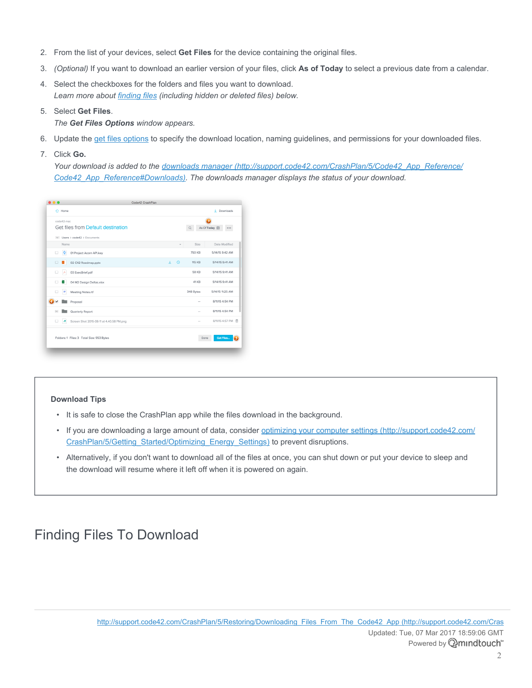- 2. From the list of your devices, select **Get Files** for the device containing the original files.
- 3. *(Optional)* If you want to download an earlier version of your files, click **As of Today** to select a previous date from a calendar.
- 4. Select the checkboxes for the folders and files you want to download. *Learn more about [finding files](#page-1-0) (including hidden or deleted files) below.*
- 5. Select **Get Files**.
	- *The Get Files Options window appears.*
- 6. Update the [get files](#page-4-0) options to specify the download location, naming guidelines, and permissions for your downloaded files.
- 7. Click **Go.**

*Your download is added to the downloads manager [\(http://support.code42.com/CrashPlan/5/Code42\\_App\\_Reference/](http://support.code42.com/CrashPlan/5/Code42_App_Reference/Code42_App_Reference#Downloads) [Code42\\_App\\_Reference#Downloads\).](http://support.code42.com/CrashPlan/5/Code42_App_Reference/Code42_App_Reference#Downloads) The downloads manager displays the status of your download.*

| $\bigcap$ Home                                    |              | Downloads<br>a.                  |
|---------------------------------------------------|--------------|----------------------------------|
| code42-mac<br>Get files from Default destination  |              | As Of Today <b></b>              |
|                                                   | $\Omega$     |                                  |
| $\vee$ Users $\gt$ code42 $\gt$ Documents<br>Name |              | Date Modified<br>Size            |
| ė<br>$\Box$<br>01 Project Acorn API.key           |              | 750 KB<br>5/14/15 9:42 AM        |
| $\Box$<br>02 C42 Roadmap.pptx<br>œ                | Φ<br>$\odot$ | 5/14/15 9:41 AM<br><b>115 KB</b> |
| A<br>$\Box$<br>03 ExecBrief.pdf                   |              | <b>58 KB</b><br>5/14/15 9:41 AM  |
| 04 M2 Design Deltas.xlsx<br>$\Box$<br>×           |              | 5/14/15 9:41 AM<br>41 KB         |
| Meeting Notes.rtf<br>۰                            | 348 Bytes    | 5/14/15 11:25 AM                 |
| Proposal                                          |              | 8/11/15 4:54 PM                  |
| Quarterly Report                                  |              | 8/11/15 4:54 PM                  |
| Screen Shot 2015-08-11 at 4.40.58 PM.png<br>A     |              | 8/11/15 4:57 PM 回                |
| Folders: 1 Files: 3 Total Size: 953 Bytes         |              | Done<br>Get Files                |

#### **Download Tips**

- It is safe to close the CrashPlan app while the files download in the background.
- If you are downloading a large amount of data, consider [optimizing your computer settings](http://support.code42.com/CrashPlan/5/Getting_Started/Optimizing_Energy_Settings) (http://support.code42.com/ [CrashPlan/5/Getting\\_Started/Optimizing\\_Energy\\_Settings\)](http://support.code42.com/CrashPlan/5/Getting_Started/Optimizing_Energy_Settings) to prevent disruptions.
- Alternatively, if you don't want to download all of the files at once, you can shut down or put your device to sleep and the download will resume where it left off when it is powered on again.

# <span id="page-1-0"></span>Finding Files To Download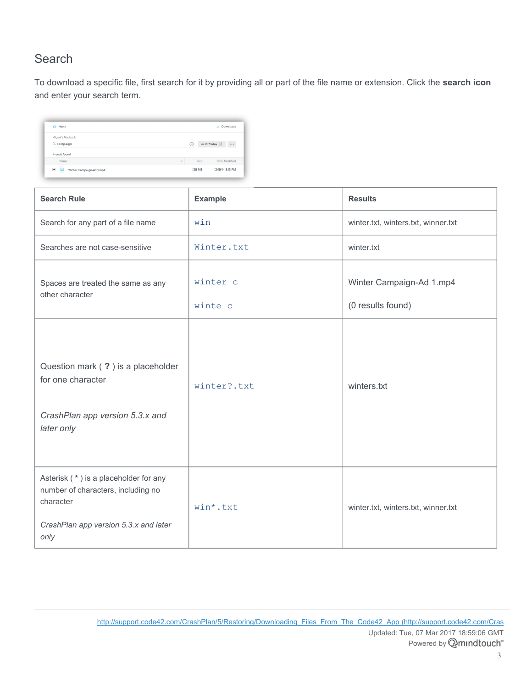## **Search**

To download a specific file, first search for it by providing all or part of the file name or extension. Click the **search icon** and enter your search term.

| $\bigcap$ Home                                |               | Downloads<br>÷.           |
|-----------------------------------------------|---------------|---------------------------|
| Miguel's Macbook                              |               |                           |
| Q campaign                                    | ∞             | As Of Today 自<br>$\cdots$ |
| 1 result found                                |               |                           |
| Name                                          | Size          | Date Modified             |
| $\checkmark$<br>Winter Campaign-Ad 1.mp4<br>Ħ | <b>128 MB</b> | 12/19/14 3:13 PM          |

| <b>Search Rule</b>                                                                                                                        | <b>Example</b>      | <b>Results</b>                                |
|-------------------------------------------------------------------------------------------------------------------------------------------|---------------------|-----------------------------------------------|
| Search for any part of a file name                                                                                                        | win                 | winter.txt, winters.txt, winner.txt           |
| Searches are not case-sensitive                                                                                                           | Winter.txt          | winter.txt                                    |
| Spaces are treated the same as any<br>other character                                                                                     | winter c<br>winte c | Winter Campaign-Ad 1.mp4<br>(0 results found) |
| Question mark (?) is a placeholder<br>for one character<br>CrashPlan app version 5.3.x and<br>later only                                  | winter?.txt         | winters.txt                                   |
| Asterisk (*) is a placeholder for any<br>number of characters, including no<br>character<br>CrashPlan app version 5.3.x and later<br>only | win*.txt            | winter.txt, winters.txt, winner.txt           |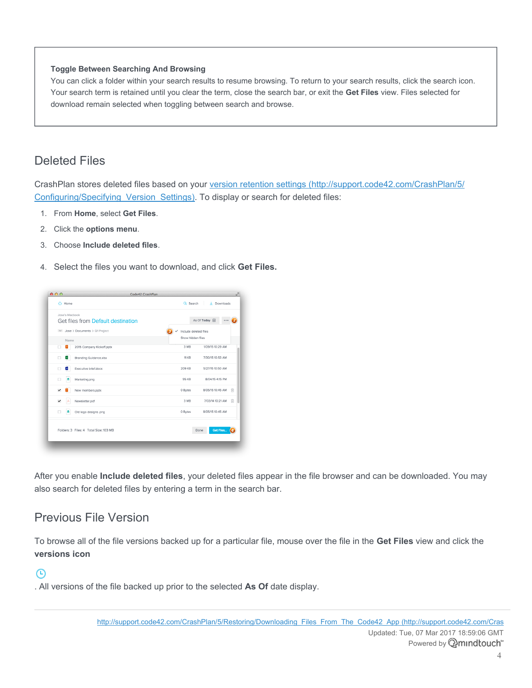#### **Toggle Between Searching And Browsing**

You can click a folder within your search results to resume browsing. To return to your search results, click the search icon. Your search term is retained until you clear the term, close the search bar, or exit the **Get Files** view. Files selected for download remain selected when toggling between search and browse.

## Deleted Files

CrashPlan stores deleted files based on your version retention settings [\(http://support.code42.com/CrashPlan/5/](http://support.code42.com/CrashPlan/5/Configuring/Specifying_Version_Settings) Configuring/Specifying Version Settings). To display or search for deleted files:

- 1. From **Home**, select **Get Files**.
- 2. Click the **options menu**.
- 3. Choose **Include deleted files**.
- 4. Select the files you want to download, and click **Get Files.**

| $\bigcap$ Home    |                                        | Q Search              | $\downarrow$<br>Downloads |
|-------------------|----------------------------------------|-----------------------|---------------------------|
| Jose's Machook    | Get files from Default destination     |                       | As Of Today <b>前</b>      |
|                   | V Jose > Documents > Q1 Project        | Include deleted files |                           |
| Name              |                                        | Show hidden files     |                           |
| Π<br>P            | 2015 Company Kickoff.pptx              | 3 MR                  | 1/09/15 10:29 AM          |
| ×<br>Π            | Branding Guidance.xlsx                 | <b>11 KB</b>          | 7/30/15 10:53 AM          |
| w<br>$\Box$       | Executive brief.docx                   | 209 KB                | 5/27/15 10:50 AM          |
| Ω<br>п            | Marketing.png                          | 95 KB                 | 8/04/15 4:15 PM           |
| $\checkmark$      | New members.pptx                       | 0 Bytes               | 尙<br>8/05/15 10:45 AM     |
|                   | Newsletter.pdf                         | 3 MB                  | 7/03/14 10:21 AM<br>甸     |
| $\mathbf{a}$<br>п | Old logo designs .png                  | 0 Bytes               | 8/05/15 10:45 AM          |
|                   | Folders: 3 Files: 4 Total Size: 103 MB |                       | <b>Get Files</b><br>Done  |

After you enable **Include deleted files**, your deleted files appear in the file browser and can be downloaded. You may also search for deleted files by entering a term in the search bar.

## Previous File Version

To browse all of the file versions backed up for a particular file, mouse over the file in the **Get Files** view and click the **versions icon**

### ⊕

. All versions of the file backed up prior to the selected **As Of** date display.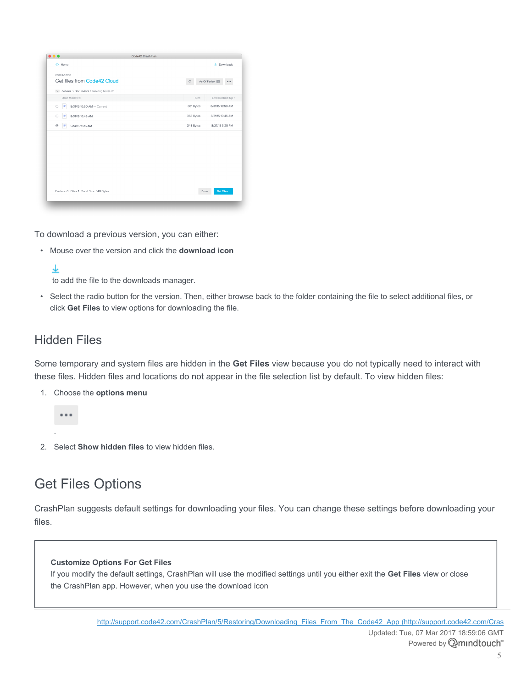| $\bigcirc$ Home                               |                          | $\downarrow$ Downloads |
|-----------------------------------------------|--------------------------|------------------------|
| code42-mac<br>Get files from Code42 Cloud     | As Of Today <b></b><br>Q |                        |
| v code42 > Documents > Meeting Notes.rtf      |                          |                        |
| Date Modified                                 | Size                     | Last Backed Up +       |
| $\bigcirc$<br>٠<br>8/31/15 10:50 AM - Current | 381 Bytes                | 8/31/15 10:50 AM       |
| ٠<br>8/31/15 10:46 AM<br>O                    | 363 Bytes                | 8/31/15 10:46 AM       |
| $\odot$<br>5/14/15 11:25 AM<br>ь              | 348 Bytes                | 8/27/15 3:25 PM        |
|                                               |                          |                        |
| Folders: 0 Files: 1 Total Size: 348 Bytes     | Done                     | Get Files              |

To download a previous version, you can either:

• Mouse over the version and click the **download icon**

### ↓

to add the file to the downloads manager.

• Select the radio button for the version. Then, either browse back to the folder containing the file to select additional files, or click **Get Files** to view options for downloading the file.

### Hidden Files

Some temporary and system files are hidden in the **Get Files** view because you do not typically need to interact with these files. Hidden files and locations do not appear in the file selection list by default. To view hidden files:

1. Choose the **options menu**



.

2. Select **Show hidden files** to view hidden files.

# <span id="page-4-0"></span>Get Files Options

CrashPlan suggests default settings for downloading your files. You can change these settings before downloading your files.

#### **Customize Options For Get Files**

If you modify the default settings, CrashPlan will use the modified settings until you either exit the **Get Files** view or close the CrashPlan app. However, when you use the download icon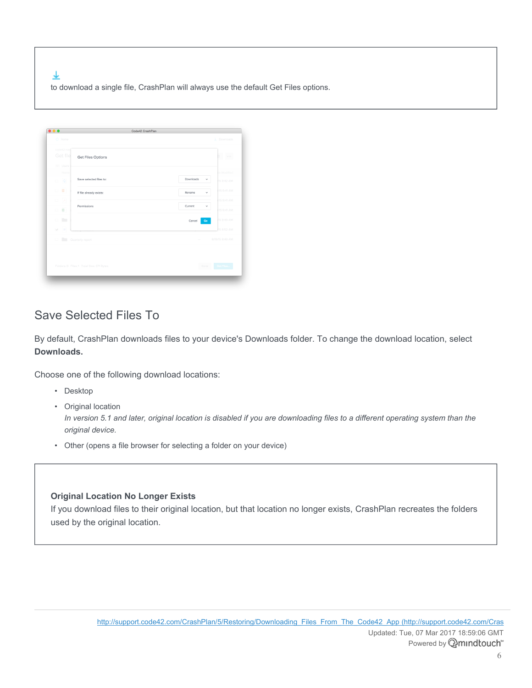业 to download a single file, CrashPlan will always use the default Get Files options.

| $\bullet\bullet\bullet$                                      | Code42 CrashPlan                          |                                             |
|--------------------------------------------------------------|-------------------------------------------|---------------------------------------------|
| $\bigcirc$ Home                                              |                                           | $\perp$ Downloads                           |
| code42-mad                                                   |                                           |                                             |
| Get file                                                     | Get Files Options                         | $\sim$ $\sim$ $\sim$                        |
| $\vee$ Users                                                 |                                           |                                             |
| Name<br>口 皇                                                  | Save selected files to:                   | te Modified<br>Downloads<br>v<br>15 9:42 AM |
| 口口                                                           | If file already exists:                   | /15 9:41 AM<br>Rename<br>$\checkmark$       |
| ロー시                                                          | Permissions                               | /15 9:41 AM                                 |
| 口目                                                           |                                           | Current<br>$\checkmark$<br>/15 9:41 AM      |
| $\begin{array}{ccc} \square & \square & \square \end{array}$ |                                           | 15 8:49 AM<br>Cancel<br>Go.                 |
| M III                                                        |                                           | 15 8:52 AM                                  |
| <b>The State</b><br>$\Box$                                   | Quarterly report                          | 8/19/15 8:49 AM<br>$\sim$                   |
|                                                              |                                           |                                             |
|                                                              | Folders: 0 Files: 1 Total Size: 371 Bytes | Get Files<br>Done                           |
|                                                              |                                           |                                             |

## Save Selected Files To

By default, CrashPlan downloads files to your device's Downloads folder. To change the download location, select **Downloads.**

Choose one of the following download locations:

- Desktop
- Original location

*In version 5.1 and later, original location is disabled if you are downloading files to a different operating system than the original device.*

• Other (opens a file browser for selecting a folder on your device)

### **Original Location No Longer Exists**

If you download files to their original location, but that location no longer exists, CrashPlan recreates the folders used by the original location.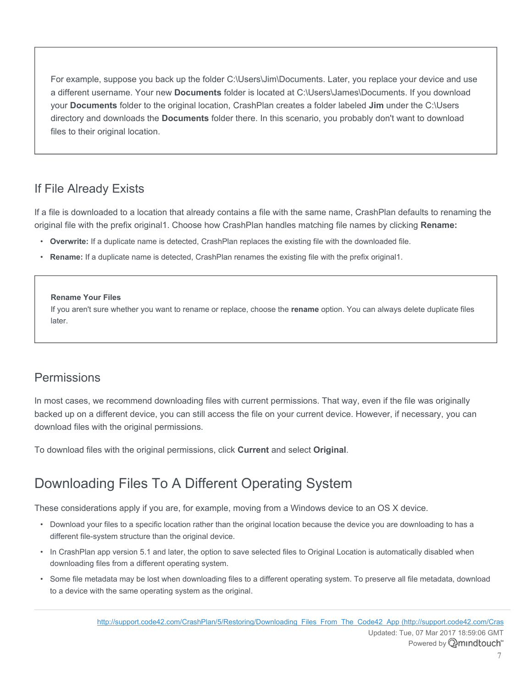For example, suppose you back up the folder C:\Users\Jim\Documents. Later, you replace your device and use a different username. Your new **Documents** folder is located at C:\Users\James\Documents. If you download your **Documents** folder to the original location, CrashPlan creates a folder labeled **Jim** under the C:\Users directory and downloads the **Documents** folder there. In this scenario, you probably don't want to download files to their original location.

## If File Already Exists

If a file is downloaded to a location that already contains a file with the same name, CrashPlan defaults to renaming the original file with the prefix original1. Choose how CrashPlan handles matching file names by clicking **Rename:**

- **Overwrite:** If a duplicate name is detected, CrashPlan replaces the existing file with the downloaded file.
- **Rename:** If a duplicate name is detected, CrashPlan renames the existing file with the prefix original1.

### **Rename Your Files**

If you aren't sure whether you want to rename or replace, choose the **rename** option. You can always delete duplicate files later.

### Permissions

In most cases, we recommend downloading files with current permissions. That way, even if the file was originally backed up on a different device, you can still access the file on your current device. However, if necessary, you can download files with the original permissions.

To download files with the original permissions, click **Current** and select **Original**.

# Downloading Files To A Different Operating System

These considerations apply if you are, for example, moving from a Windows device to an OS X device.

- Download your files to a specific location rather than the original location because the device you are downloading to has a different file-system structure than the original device.
- In CrashPlan app version 5.1 and later, the option to save selected files to Original Location is automatically disabled when downloading files from a different operating system.
- Some file metadata may be lost when downloading files to a different operating system. To preserve all file metadata, download to a device with the same operating system as the original.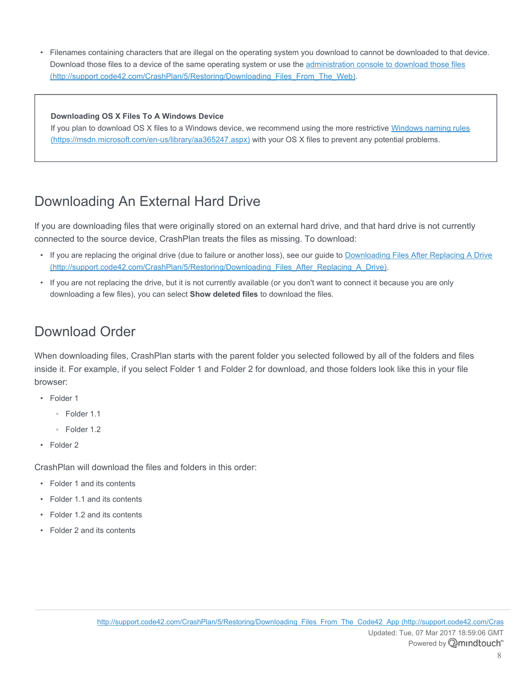• Filenames containing characters that are illegal on the operating system you download to cannot be downloaded to that device. Download those files to a device of the same operating system or use the [administration console to download those files](http://support.code42.com/CrashPlan/5/Restoring/Downloading_Files_From_The_Web) [\(http://support.code42.com/CrashPlan/5/Restoring/Downloading\\_Files\\_From\\_The\\_Web\)](http://support.code42.com/CrashPlan/5/Restoring/Downloading_Files_From_The_Web).

#### **Downloading OS X Files To A Windows Device**

If you plan to download OS X files to a Windows device, we recommend using the more restrictive [Windows naming rules](https://msdn.microsoft.com/en-us/library/aa365247.aspx) [\(https://msdn.microsoft.com/en-us/library/aa365247.aspx\)](https://msdn.microsoft.com/en-us/library/aa365247.aspx) with your OS X files to prevent any potential problems.

# Downloading An External Hard Drive

If you are downloading files that were originally stored on an external hard drive, and that hard drive is not currently connected to the source device, CrashPlan treats the files as missing. To download:

- If you are replacing the original drive (due to failure or another loss), see our guide to Downloading [Files After Replacing A Drive](http://support.code42.com/CrashPlan/5/Restoring/Downloading_Files_After_Replacing_A_Drive) [\(http://support.code42.com/CrashPlan/5/Restoring/Downloading\\_Files\\_After\\_Replacing\\_A\\_Drive\)](http://support.code42.com/CrashPlan/5/Restoring/Downloading_Files_After_Replacing_A_Drive).
- If you are not replacing the drive, but it is not currently available (or you don't want to connect it because you are only downloading a few files), you can select **Show deleted files** to download the files.

## Download Order

When downloading files, CrashPlan starts with the parent folder you selected followed by all of the folders and files inside it. For example, if you select Folder 1 and Folder 2 for download, and those folders look like this in your file browser:

- Folder 1
	- Folder 1.1
	- Folder 1.2
- Folder 2

CrashPlan will download the files and folders in this order:

- Folder 1 and its contents
- Folder 1.1 and its contents
- Folder 1.2 and its contents
- Folder 2 and its contents